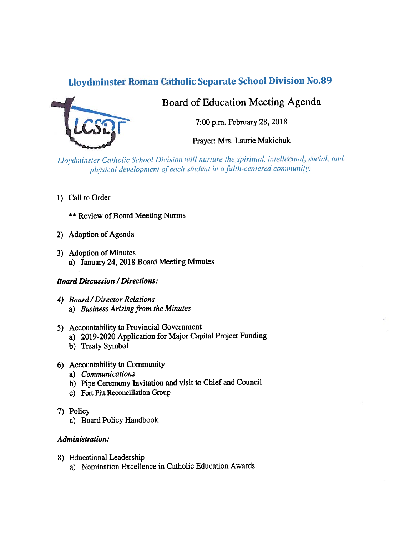# Lloydminster Roman Catholic Separate School Division No.89



# Board of Education Meeting Agenda

7:00 p.m. February 28, 2018

Prayer: Mrs. Laurie Makichuk

Lloydminster Catholic School Division will nurture the spiritual, intellectual, social, and physical development of each student in a faith-centered community.

1) Call to Order

\*\* Review of Board Meeting Norms

- 2) Adoption of Agenda
- 3) Adoption of Minutes a) January 24, 2018 Board Meeting Minutes

## Board Discussion / Directions:

- 4) Board /Director Relations a) Business Arising from the Minutes
- 5) Accountability to Provincial Government
	- a) 2019-2020 Application for Major Capital Project Funding
	- b) Treaty Symbol
- 6) Accountability to Community
	- a) Communications
	- b) Pipe Ceremony invitation and visit to Chief and Council
	- c) Fort Pitt Reconciliation Group
- 7) Policy
	- a) Board Policy Handbook

## Administration:

- 8) Educational Leadership
	- a) Nomination Excellence in Catholic Education Awards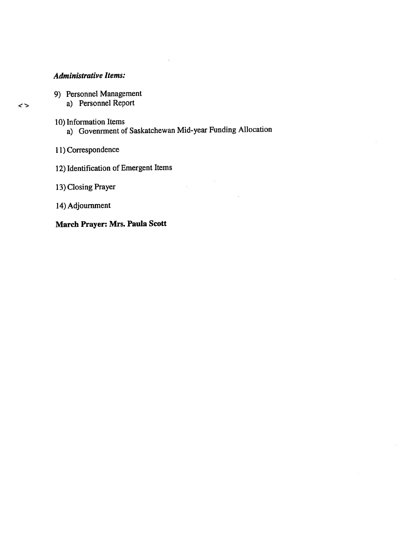# Administrative Items:

 $\leftrightarrow$ 

- 9) Personnel Management
	- a) Personnel Report
- 10) Information Items a) Govenrment of Saskatchewan Mid-year Funding Allocation

 $\overline{\epsilon}$ 

- 11) Correspondence
- 12) Identification of Emergent Items
- 13) Closing Prayer
- 14) Adjournment

March Prayer: Mrs. Paula Scott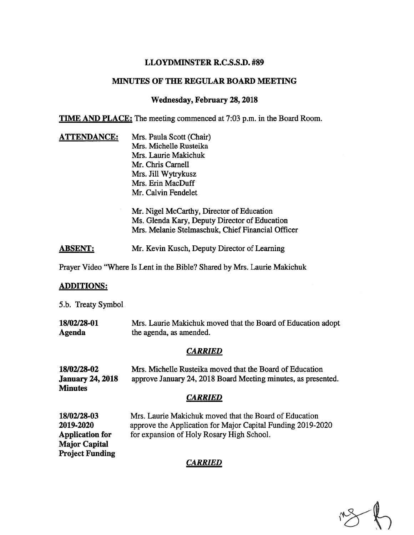## LLOYDMINSTER R.C.S.S.D. #89

#### MINUTES OF THE REGULAR BOARD MEETING

#### Wednesday, February 28,2018

TIME AND PLACE: The meeting commenced at 7:03 p.m. in the Board Room.

**ATTENDANCE:** Mrs. Paula Scott (Chair) Mrs. Michelle Rusteika Mrs. Laurie Makichuk Mr. Chris Carnell Mrs. Jill Wytrykusz Mrs. Erin MacDuff Mr. Calvin Fendelet

> Mr. Nigel McCarthy, Director of Education Ms. Glenda Kary, Deputy Director of Education Mrs. Melanie Stelmaschuk, Chief Financial Officer

ABSENT: Mr. Kevin Kusch, Deputy Director of Learning

Prayer Video "Where Is Lent in the Bible? Shared by Mrs. Laurie Makichuk

#### ADDITIONS:

5.b. Treaty Symbol

18/02/28-01 Mrs. Laurie Makichuk moved that the Board of Education adopt Agenda the agenda, as amended.

## CARRIED

| Mrs. Michelle Rusteika moved that the Board of Education      |
|---------------------------------------------------------------|
| approve January 24, 2018 Board Meeting minutes, as presented. |
|                                                               |
|                                                               |

## CARRIED

Major Capital Project Funding

18/02/28-03 Mrs. Laurie Makichuk moved that the Board of Education 2019-2020 approve the Application for Major Capital Funding 2019-2020 Application for for expansion of Holy Rosary High School.

## CARRIED

 $\mathbb{R}$